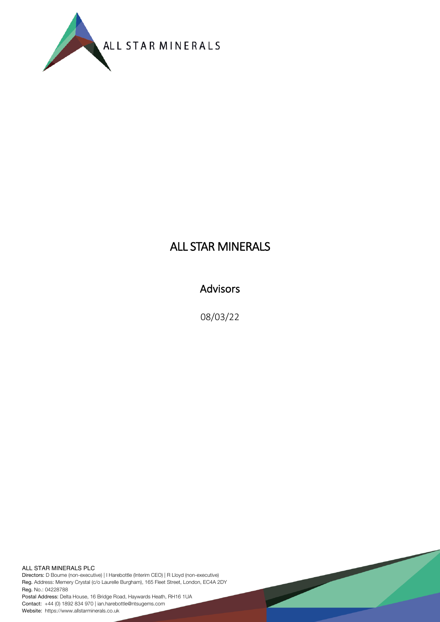

# ALL STAR MINERALS

## Advisors

08/03/22

ALL STAR MINERALS PLC Directors: D Bourne (non-executive) | I Harebottle (Interim CEO) | R Lloyd (non-executive) Reg. Address: Memery Crystal (c/o Laurelle Burgham), 165 Fleet Street, London, EC4A 2DY Reg. No.: 04228788

Postal Address: Delta House, 16 Bridge Road, Haywards Heath, RH16 1UA Contact: +44 (0) 1892 834 970 | ian.harebottle@ntsugems.com Website: https://www.allstarminerals.co.uk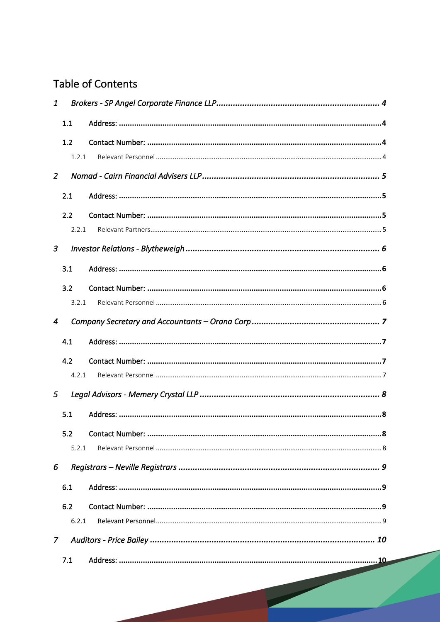# **Table of Contents**

| 1              |       |  |
|----------------|-------|--|
|                | 1.1   |  |
|                | 1.2   |  |
|                | 1.2.1 |  |
| $\overline{2}$ |       |  |
|                | 2.1   |  |
|                | 2.2   |  |
|                | 2.2.1 |  |
| 3              |       |  |
|                | 3.1   |  |
|                | 3.2   |  |
|                | 3.2.1 |  |
| $\overline{4}$ |       |  |
|                | 4.1   |  |
|                | 4.2   |  |
|                | 4.2.1 |  |
| 5              |       |  |
|                | 5.1   |  |
|                | 5.2   |  |
|                | 5.2.1 |  |
| 6              |       |  |
|                | 6.1   |  |
|                | 6.2   |  |
|                | 6.2.1 |  |
| $\mathcal{I}$  |       |  |
|                | 7.1   |  |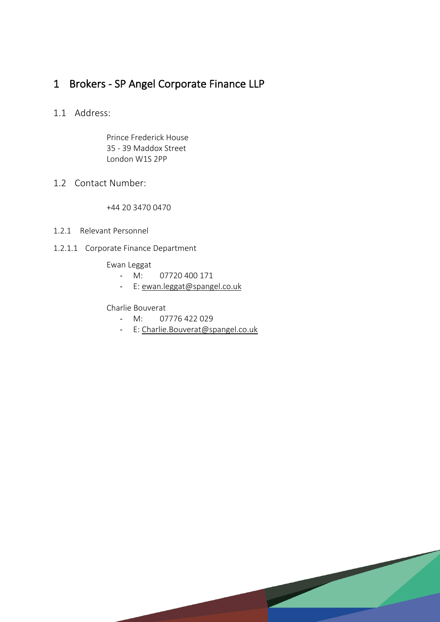## 1 Brokers - SP Angel Corporate Finance LLP

#### 1.1 Address:

Prince Frederick House 35 - 39 Maddox Street London W1S 2PP

### 1.2 Contact Number:

+44 20 3470 0470

- 1.2.1 Relevant Personnel
- 1.2.1.1 Corporate Finance Department

Ewan Leggat

- M: 07720 400 171
- E: ewan.leggat@spangel.co.uk

#### Charlie Bouverat

- M: 07776 422 029
- E: Charlie.Bouverat@spangel.co.uk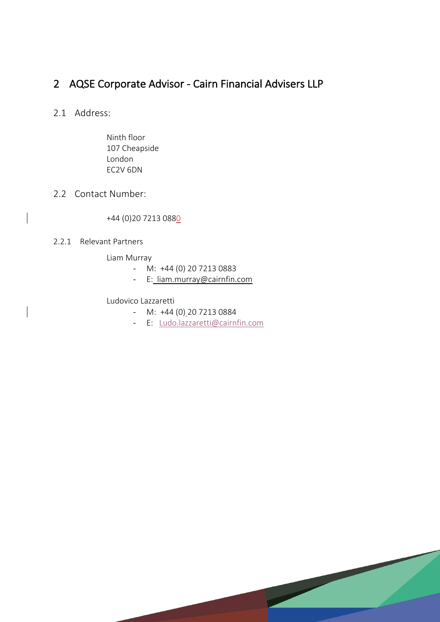### 2 AQSE Corporate Advisor - Cairn Financial Advisers LLP

#### 2.1 Address:

Ninth floor 107 Cheapside London EC2V 6DN

#### 2.2 Contact Number:

#### +44 (0)20 7213 0880

#### 2.2.1 Relevant Partners

Liam Murray

- M: +44 (0) 20 7213 0883
- E: liam.murray@cairnfin.com

#### Ludovico Lazzaretti

- M: +44 (0) 20 7213 0884
- E: Ludo.lazzaretti@cairnfin.com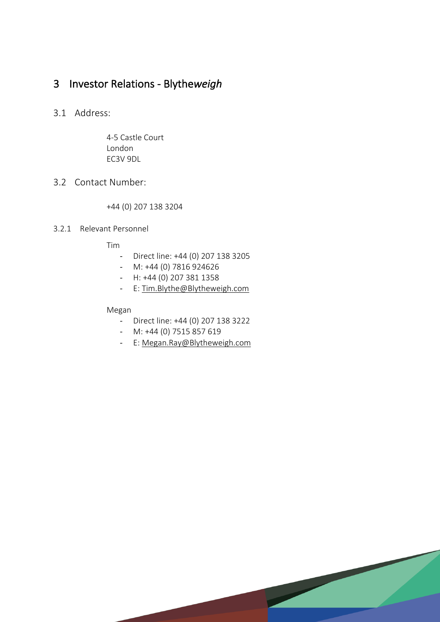## 3 Investor Relations - Blythe*weigh*

#### 3.1 Address:

4-5 Castle Court London EC3V 9DL

#### 3.2 Contact Number:

+44 (0) 207 138 3204

#### 3.2.1 Relevant Personnel

Tim

- Direct line: +44 (0) 207 138 3205
- M: +44 (0) 7816 924626
- H: +44 (0) 207 381 1358
- E: Tim.Blythe@Blytheweigh.com

Megan

- Direct line: +44 (0) 207 138 3222
- M: +44 (0) 7515 857 619
- E: Megan.Ray@Blytheweigh.com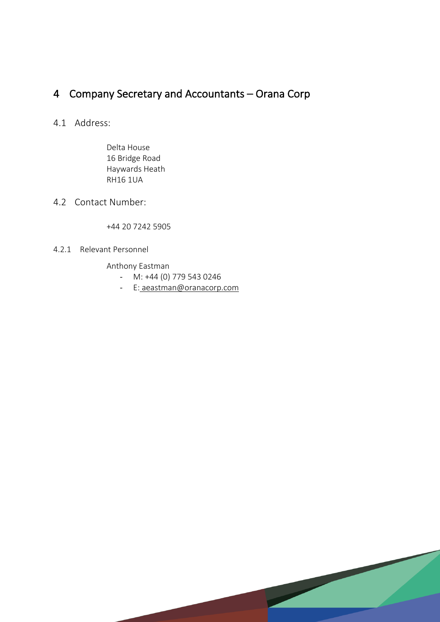## 4 Company Secretary and Accountants – Orana Corp

### 4.1 Address:

Delta House 16 Bridge Road Haywards Heath RH16 1UA

#### 4.2 Contact Number:

+44 20 7242 5905

#### 4.2.1 Relevant Personnel

Anthony Eastman

- M: +44 (0) 779 543 0246
- E: aeastman@oranacorp.com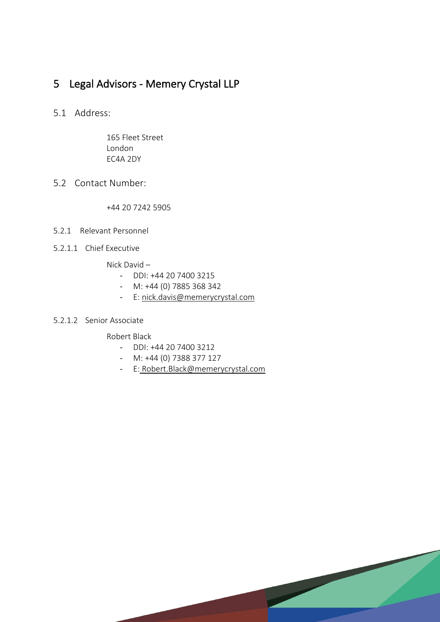## 5 Legal Advisors - Memery Crystal LLP

5.1 Address:

165 Fleet Street London EC4A 2DY

5.2 Contact Number:

+44 20 7242 5905

- 5.2.1 Relevant Personnel
- 5.2.1.1 Chief Executive

Nick David –

- DDI: +44 20 7400 3215
- M: +44 (0) 7885 368 342
- E: nick.davis@memerycrystal.com

#### 5.2.1.2 Senior Associate

Robert Black

- DDI: +44 20 7400 3212
- M: +44 (0) 7388 377 127
- E: Robert.Black@memerycrystal.com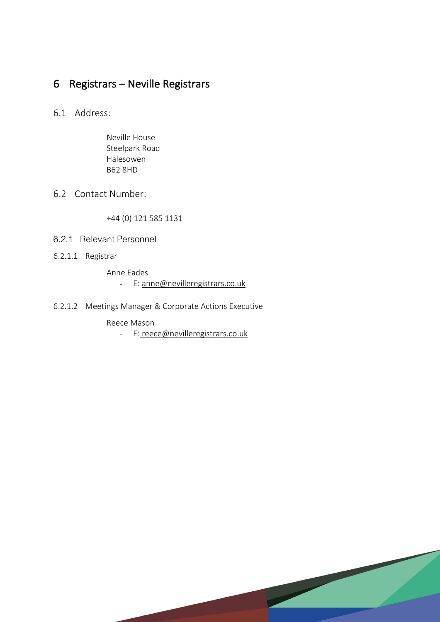## 6 Registrars – Neville Registrars

### 6.1 Address:

Neville House Steelpark Road Halesowen B62 8HD

#### 6.2 Contact Number:

+44 (0) 121 585 1131

- 6.2.1 Relevant Personnel
- 6.2.1.1 Registrar

Anne Eades - E: anne@nevilleregistrars.co.uk

6.2.1.2 Meetings Manager & Corporate Actions Executive

Reece Mason

- E: reece@nevilleregistrars.co.uk